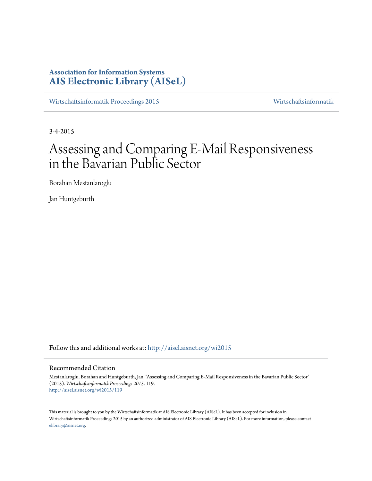# **Association for Information Systems [AIS Electronic Library \(AISeL\)](http://aisel.aisnet.org?utm_source=aisel.aisnet.org%2Fwi2015%2F119&utm_medium=PDF&utm_campaign=PDFCoverPages)**

[Wirtschaftsinformatik Proceedings 2015](http://aisel.aisnet.org/wi2015?utm_source=aisel.aisnet.org%2Fwi2015%2F119&utm_medium=PDF&utm_campaign=PDFCoverPages) [Wirtschaftsinformatik](http://aisel.aisnet.org/wi?utm_source=aisel.aisnet.org%2Fwi2015%2F119&utm_medium=PDF&utm_campaign=PDFCoverPages)

3-4-2015

# Assessing and Comparing E-Mail Responsiveness in the Bavarian Public Sector

Borahan Mestanlaroglu

Jan Huntgeburth

Follow this and additional works at: [http://aisel.aisnet.org/wi2015](http://aisel.aisnet.org/wi2015?utm_source=aisel.aisnet.org%2Fwi2015%2F119&utm_medium=PDF&utm_campaign=PDFCoverPages)

## Recommended Citation

Mestanlaroglu, Borahan and Huntgeburth, Jan, "Assessing and Comparing E-Mail Responsiveness in the Bavarian Public Sector" (2015). *Wirtschaftsinformatik Proceedings 2015*. 119. [http://aisel.aisnet.org/wi2015/119](http://aisel.aisnet.org/wi2015/119?utm_source=aisel.aisnet.org%2Fwi2015%2F119&utm_medium=PDF&utm_campaign=PDFCoverPages)

This material is brought to you by the Wirtschaftsinformatik at AIS Electronic Library (AISeL). It has been accepted for inclusion in Wirtschaftsinformatik Proceedings 2015 by an authorized administrator of AIS Electronic Library (AISeL). For more information, please contact [elibrary@aisnet.org.](mailto:elibrary@aisnet.org%3E)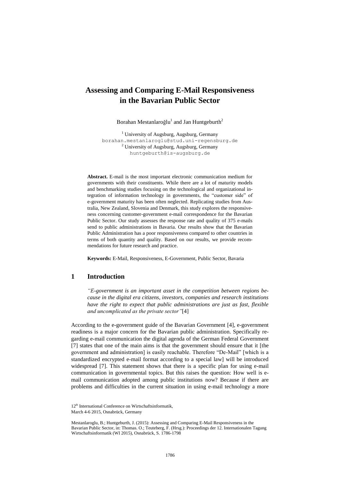## **Assessing and Comparing E-Mail Responsiveness in the Bavarian Public Sector**

Borahan Mestanlaroğlu<sup>1</sup> and Jan Huntgeburth<sup>2</sup>

<sup>1</sup> University of Augsburg, Augsburg, Germany borahan.mestanlaroglu@stud.uni-regensburg.de <sup>2</sup> University of Augsburg, Augsburg, Germany huntgeburth@is-augsburg.de

**Abstract.** E-mail is the most important electronic communication medium for governments with their constituents. While there are a lot of maturity models and benchmarking studies focusing on the technological and organizational integration of information technology in governments, the "customer side" of e-government maturity has been often neglected. Replicating studies from Australia, New Zealand, Slovenia and Denmark, this study explores the responsiveness concerning customer-government e-mail correspondence for the Bavarian Public Sector. Our study assesses the response rate and quality of 375 e-mails send to public administrations in Bavaria. Our results show that the Bavarian Public Administration has a poor responsiveness compared to other countries in terms of both quantity and quality. Based on our results, we provide recommendations for future research and practice.

**Keywords:** E-Mail, Responsiveness, E-Government, Public Sector, Bavaria

## **1 Introduction**

*"E-government is an important asset in the competition between regions because in the digital era citizens, investors, companies and research institutions have the right to expect that public administrations are just as fast, flexible and uncomplicated as the private sector"*[4]

According to the e-government guide of the Bavarian Government [4], e-government readiness is a major concern for the Bavarian public administration. Specifically regarding e-mail communication the digital agenda of the German Federal Government [7] states that one of the main aims is that the government should ensure that it [the government and administration] is easily reachable. Therefore "De-Mail" [which is a standardized encrypted e-mail format according to a special law] will be introduced widespread [7]. This statement shows that there is a specific plan for using e-mail communication in governmental topics. But this raises the question: How well is email communication adopted among public institutions now? Because if there are problems and difficulties in the current situation in using e-mail technology a more

<sup>12&</sup>lt;sup>th</sup> International Conference on Wirtschaftsinformatik, March 4-6 2015, Osnabrück, Germany

Mestanlaroglu, B.; Huntgeburth, J. (2015): Assessing and Comparing E-Mail Responsiveness in the Bavarian Public Sector, in: Thomas. O.; Teuteberg, F. (Hrsg.): Proceedings der 12. Internationalen Tagung Wirtschaftsinformatik (WI 2015), Osnabrück, S. 1786-1798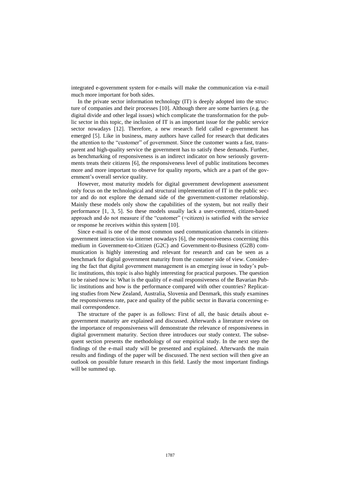integrated e-government system for e-mails will make the communication via e-mail much more important for both sides.

In the private sector information technology (IT) is deeply adopted into the structure of companies and their processes [10]. Although there are some barriers (e.g. the digital divide and other legal issues) which complicate the transformation for the public sector in this topic, the inclusion of IT is an important issue for the public service sector nowadays [12]. Therefore, a new research field called e-government has emerged [5]. Like in business, many authors have called for research that dedicates the attention to the "customer" of government. Since the customer wants a fast, transparent and high-quality service the government has to satisfy these demands. Further, as benchmarking of responsiveness is an indirect indicator on how seriously governments treats their citizens [6], the responsiveness level of public institutions becomes more and more important to observe for quality reports, which are a part of the government's overall service quality.

However, most maturity models for digital government development assessment only focus on the technological and structural implementation of IT in the public sector and do not explore the demand side of the government-customer relationship. Mainly these models only show the capabilities of the system, but not really their performance [1, 3, 5]. So these models usually lack a user-centered, citizen-based approach and do not measure if the "customer" (=citizen) is satisfied with the service or response he receives within this system [10].

Since e-mail is one of the most common used communication channels in citizengovernment interaction via internet nowadays [6], the responsiveness concerning this medium in Government-to-Citizen (G2C) and Government-to-Business (G2B) communication is highly interesting and relevant for research and can be seen as a benchmark for digital government maturity from the customer side of view. Considering the fact that digital government management is an emerging issue in today's public institutions, this topic is also highly interesting for practical purposes. The question to be raised now is: What is the quality of e-mail responsiveness of the Bavarian Public institutions and how is the performance compared with other countries? Replicating studies from New Zealand, Australia, Slovenia and Denmark, this study examines the responsiveness rate, pace and quality of the public sector in Bavaria concerning email correspondence.

The structure of the paper is as follows: First of all, the basic details about egovernment maturity are explained and discussed. Afterwards a literature review on the importance of responsiveness will demonstrate the relevance of responsiveness in digital government maturity. Section three introduces our study context. The subsequent section presents the methodology of our empirical study. In the next step the findings of the e-mail study will be presented and explained. Afterwards the main results and findings of the paper will be discussed. The next section will then give an outlook on possible future research in this field. Lastly the most important findings will be summed up.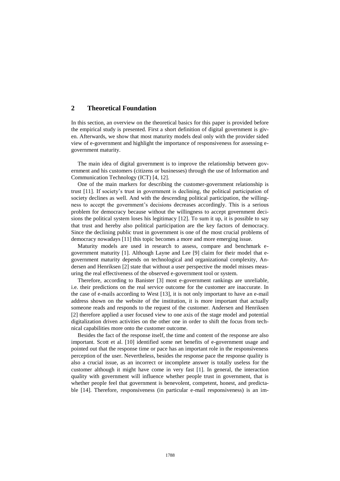## **2 Theoretical Foundation**

In this section, an overview on the theoretical basics for this paper is provided before the empirical study is presented. First a short definition of digital government is given. Afterwards, we show that most maturity models deal only with the provider sided view of e-government and highlight the importance of responsiveness for assessing egovernment maturity.

The main idea of digital government is to improve the relationship between government and his customers (citizens or businesses) through the use of Information and Communication Technology (ICT) [4, 12].

One of the main markers for describing the customer-government relationship is trust [11]. If society's trust in government is declining, the political participation of society declines as well. And with the descending political participation, the willingness to accept the government's decisions decreases accordingly. This is a serious problem for democracy because without the willingness to accept government decisions the political system loses his legitimacy [12]. To sum it up, it is possible to say that trust and hereby also political participation are the key factors of democracy. Since the declining public trust in government is one of the most crucial problems of democracy nowadays [11] this topic becomes a more and more emerging issue.

Maturity models are used in research to assess, compare and benchmark egovernment maturity [1]. Although Layne and Lee [9] claim for their model that egovernment maturity depends on technological and organizational complexity, Andersen and Henriksen [2] state that without a user perspective the model misses measuring the real effectiveness of the observed e-government tool or system.

Therefore, according to Banister [3] most e-government rankings are unreliable, i.e. their predictions on the real service outcome for the customer are inaccurate. In the case of e-mails according to West [13], it is not only important to have an e-mail address shown on the website of the institution, it is more important that actually someone reads and responds to the request of the customer. Andersen and Henriksen [2] therefore applied a user focused view to one axis of the stage model and potential digitalization driven activities on the other one in order to shift the focus from technical capabilities more onto the customer outcome.

Besides the fact of the response itself, the time and content of the response are also important. Scott et al. [10] identified some net benefits of e-government usage and pointed out that the response time or pace has an important role in the responsiveness perception of the user. Nevertheless, besides the response pace the response quality is also a crucial issue, as an incorrect or incomplete answer is totally useless for the customer although it might have come in very fast [1]. In general, the interaction quality with government will influence whether people trust in government, that is whether people feel that government is benevolent, competent, honest, and predictable [14]. Therefore, responsiveness (in particular e-mail responsiveness) is an im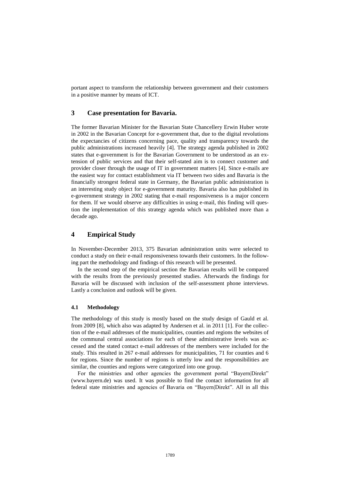portant aspect to transform the relationship between government and their customers in a positive manner by means of ICT.

## **3 Case presentation for Bavaria.**

The former Bavarian Minister for the Bavarian State Chancellery Erwin Huber wrote in 2002 in the Bavarian Concept for e-government that, due to the digital revolutions the expectancies of citizens concerning pace, quality and transparency towards the public administrations increased heavily [4]. The strategy agenda published in 2002 states that e-government is for the Bavarian Government to be understood as an extension of public services and that their self-stated aim is to connect customer and provider closer through the usage of IT in government matters [4]. Since e-mails are the easiest way for contact establishment via IT between two sides and Bavaria is the financially strongest federal state in Germany, the Bavarian public administration is an interesting study object for e-government maturity. Bavaria also has published its e-government strategy in 2002 stating that e-mail responsiveness is a major concern for them. If we would observe any difficulties in using e-mail, this finding will question the implementation of this strategy agenda which was published more than a decade ago.

## **4 Empirical Study**

In November-December 2013, 375 Bavarian administration units were selected to conduct a study on their e-mail responsiveness towards their customers. In the following part the methodology and findings of this research will be presented.

In the second step of the empirical section the Bavarian results will be compared with the results from the previously presented studies. Afterwards the findings for Bavaria will be discussed with inclusion of the self-assessment phone interviews. Lastly a conclusion and outlook will be given.

#### **4.1 Methodology**

The methodology of this study is mostly based on the study design of Gauld et al. from 2009 [8], which also was adapted by Andersen et al. in 2011 [1]. For the collection of the e-mail addresses of the municipalities, counties and regions the websites of the communal central associations for each of these administrative levels was accessed and the stated contact e-mail addresses of the members were included for the study. This resulted in 267 e-mail addresses for municipalities, 71 for counties and 6 for regions. Since the number of regions is utterly low and the responsibilities are similar, the counties and regions were categorized into one group.

For the ministries and other agencies the government portal "Bayern|Direkt" (www.bayern.de) was used. It was possible to find the contact information for all federal state ministries and agencies of Bavaria on "Bayern|Direkt". All in all this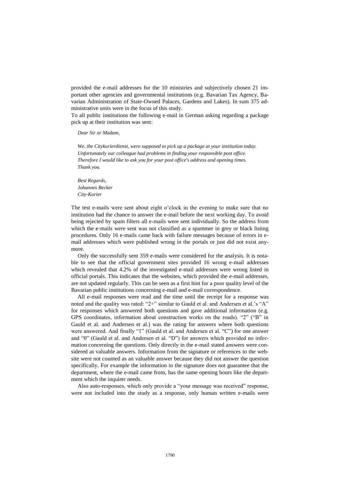provided the e-mail addresses for the 10 ministries and subjectively chosen 21 important other agencies and governmental institutions (e.g. Bavarian Tax Agency, Bavarian Administration of State-Owned Palaces, Gardens and Lakes). In sum 375 administrative units were in the focus of this study.

To all public institutions the following e-mail in German asking regarding a package pick up at their institution was sent:

*Dear Sir or Madam,*

*We, the Citykurierdienst, were supposed to pick up a package at your institution today. Unfortunately our colleague had problems in finding your responsible post office. Therefore I would like to ask you for your post office's address and opening times. Thank you.*

*Best Regards, Johannes Becker City-Kurier*

The test e-mails were sent about eight o'clock in the evening to make sure that no institution had the chance to answer the e-mail before the next working day. To avoid being rejected by spam filters all e-mails were sent individually. So the address from which the e-mails were sent was not classified as a spammer in grey or black listing procedures. Only 16 e-mails came back with failure messages because of errors in email addresses which were published wrong in the portals or just did not exist anymore.

Only the successfully sent 359 e-mails were considered for the analysis. It is notable to see that the official government sites provided 16 wrong e-mail addresses which revealed that 4.2% of the investigated e-mail addresses were wrong listed in official portals. This indicates that the websites, which provided the e-mail addresses, are not updated regularly. This can be seen as a first hint for a poor quality level of the Bavarian public institutions concerning e-mail and e-mail correspondence.

All e-mail responses were read and the time until the receipt for a response was noted and the quality was rated: "2+" similar to Gauld et al. and Andersen et al.'s "A" for responses which answered both questions and gave additional information (e.g. GPS coordinates, information about construction works on the roads). "2" ("B" in Gauld et al. and Andersen et al.) was the rating for answers where both questions were answered. And finally "1" (Gauld et al. and Andersen et al. "C") for one answer and "0" (Gauld et al. and Andersen et al. "D") for answers which provided no information concerning the questions. Only directly in the e-mail stated answers were considered as valuable answers. Information from the signature or references to the website were not counted as an valuable answer because they did not answer the question specifically. For example the information in the signature does not guarantee that the department, where the e-mail came from, has the same opening hours like the department which the inquirer needs.

Also auto-responses, which only provide a "your message was received" response, were not included into the study as a response, only human written e-mails were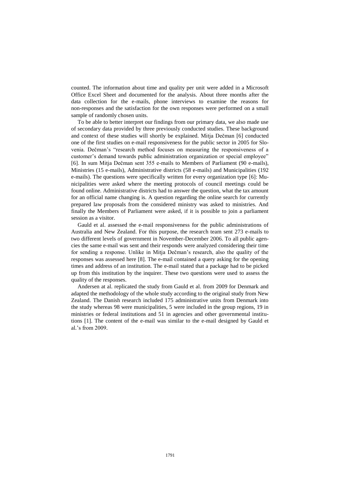counted. The information about time and quality per unit were added in a Microsoft Office Excel Sheet and documented for the analysis. About three months after the data collection for the e-mails, phone interviews to examine the reasons for non-responses and the satisfaction for the own responses were performed on a small sample of randomly chosen units.

To be able to better interpret our findings from our primary data, we also made use of secondary data provided by three previously conducted studies. These background and context of these studies will shortly be explained. Mitja Dečman [6] conducted one of the first studies on e-mail responsiveness for the public sector in 2005 for Slovenia. Dečman's "research method focuses on measuring the responsiveness of a customer's demand towards public administration organization or special employee" [6]. In sum Mitja Dečman sent 355 e-mails to Members of Parliament (90 e-mails), Ministries (15 e-mails), Administrative districts (58 e-mails) and Municipalities (192 e-mails). The questions were specifically written for every organization type [6]: Municipalities were asked where the meeting protocols of council meetings could be found online. Administrative districts had to answer the question, what the tax amount for an official name changing is. A question regarding the online search for currently prepared law proposals from the considered ministry was asked to ministries. And finally the Members of Parliament were asked, if it is possible to join a parliament session as a visitor.

Gauld et al. assessed the e-mail responsiveness for the public administrations of Australia and New Zealand. For this purpose, the research team sent 273 e-mails to two different levels of government in November-December 2006. To all public agencies the same e-mail was sent and their responds were analyzed considering their time for sending a response. Unlike in Mitja Dečman's research, also the quality of the responses was assessed here [8]. The e-mail contained a query asking for the opening times and address of an institution. The e-mail stated that a package had to be picked up from this institution by the inquirer. These two questions were used to assess the quality of the responses.

Andersen at al. replicated the study from Gauld et al. from 2009 for Denmark and adapted the methodology of the whole study according to the original study from New Zealand. The Danish research included 175 administrative units from Denmark into the study whereas 98 were municipalities, 5 were included in the group regions, 19 in ministries or federal institutions and 51 in agencies and other governmental institutions [1]. The content of the e-mail was similar to the e-mail designed by Gauld et al.'s from 2009.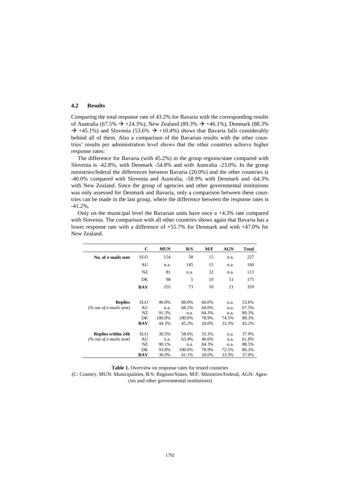#### **4.2 Results**

Comparing the total response rate of 43.2% for Bavaria with the corresponding results of Australia (67.5%  $\rightarrow$  +24.3%), New Zealand (89.3%  $\rightarrow$  +46.1%), Denmark (88.3%  $\rightarrow$  +45.1%) and Slovenia (53.6%  $\rightarrow$  +10.4%) shows that Bavaria falls considerably behind all of them. Also a comparison of the Bavarian results with the other countries' results per administration level shows that the other countries achieve higher response rates:

The difference for Bavaria (with 45.2%) in the group regions/state compared with Slovenia is -42.8%, with Denmark -54.8% and with Australia -23.0%. In the group ministries/federal the differences between Bavaria (20.0%) and the other countries is -40.0% compared with Slovenia and Australia, -58.9% with Denmark and -64.3% with New Zealand. Since the group of agencies and other governmental institutions was only assessed for Denmark and Bavaria, only a comparison between these countries can be made in the last group, where the difference between the response rates is -41.2%.

Only on the municipal level the Bavarian units have once a +4.3% rate compared with Slovenia. The comparison with all other countries shows again that Bavaria has a lower response rate with a difference of +55.7% for Denmark and with +47.0% for New Zealand.

|                            | C          | <b>MUN</b> | R/S    | M/F   | <b>AGN</b> | Total |
|----------------------------|------------|------------|--------|-------|------------|-------|
| No. of e-mails sent        | <b>SLO</b> | 154        | 58     | 15    | n.a.       | 227   |
|                            | AU         | n.a.       | 145    | 15    | n.a.       | 160   |
|                            | NZ         | 81         | n.a.   | 32    | n.a.       | 113   |
|                            | DK         | 98         | 5      | 19    | 51         | 175   |
|                            | <b>BAV</b> | 255        | 73     | 10    | 21         | 359   |
|                            |            |            |        |       |            |       |
| <b>Replies</b>             | <b>SLO</b> | 40.0%      | 88.0%  | 60.0% | n.a.       | 53.6% |
| $(\%$ out of e-mails sent) | AU         | n.a.       | 68.2%  | 60.0% | n.a.       | 67.5% |
|                            | NZ         | 91.3%      | n.a.   | 84.3% | n.a.       | 89.3% |
|                            | DK         | 100.0%     | 100.0% | 78.9% | 74.5%      | 88.3% |
|                            | BAV        | 44.3%      | 45.2%  | 20.0% | 33.3%      | 43.2% |
| <b>Replies within 24h</b>  | <b>SLO</b> | 30.5%      | 58.6%  | 33.3% | n.a.       | 37.9% |
| $(\%$ out of e-mails sent) | AU         | n.a.       | 63.4%  | 46.6% | n.a.       | 61.8% |
|                            | NZ         | 90.1%      | n.a.   | 84.3% | n.a.       | 88.5% |
|                            | DK         | 93.8%      | 100.0% | 78.9% | 72.5%      | 86.3% |
|                            | BAV        | 36.9%      | 41.1%  | 20.0% | 33.3%      | 37.0% |

**Table 1.** Overview on response rates for tested countries

(C: Country, MUN: Municipalities, R/S: Regions/States, M/F: Ministries/Federal, AGN: Agencies and other governmental institutions)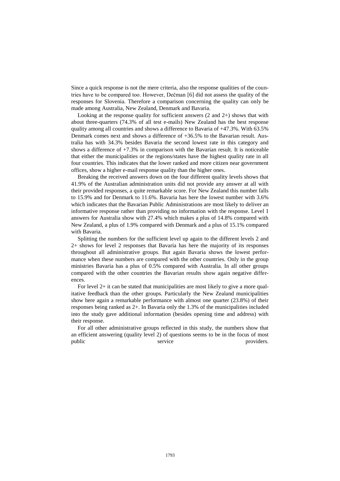Since a quick response is not the mere criteria, also the response qualities of the countries have to be compared too. However, Dečman [6] did not assess the quality of the responses for Slovenia. Therefore a comparison concerning the quality can only be made among Australia, New Zealand, Denmark and Bavaria.

Looking at the response quality for sufficient answers (2 and 2+) shows that with about three-quarters (74.3% of all test e-mails) New Zealand has the best response quality among all countries and shows a difference to Bavaria of  $+47.3\%$ . With 63.5% Denmark comes next and shows a difference of +36.5% to the Bavarian result. Australia has with 34.3% besides Bavaria the second lowest rate in this category and shows a difference of  $+7.3\%$  in comparison with the Bavarian result. It is noticeable that either the municipalities or the regions/states have the highest quality rate in all four countries. This indicates that the lower ranked and more citizen near government offices, show a higher e-mail response quality than the higher ones.

Breaking the received answers down on the four different quality levels shows that 41.9% of the Australian administration units did not provide any answer at all with their provided responses, a quite remarkable score. For New Zealand this number falls to 15.9% and for Denmark to 11.6%. Bavaria has here the lowest number with 3.6% which indicates that the Bavarian Public Administrations are most likely to deliver an informative response rather than providing no information with the response. Level 1 answers for Australia show with 27.4% which makes a plus of 14.8% compared with New Zealand, a plus of 1.9% compared with Denmark and a plus of 15.1% compared with Bavaria.

Splitting the numbers for the sufficient level up again to the different levels 2 and 2+ shows for level 2 responses that Bavaria has here the majority of its responses throughout all administrative groups. But again Bavaria shows the lowest performance when these numbers are compared with the other countries. Only in the group ministries Bavaria has a plus of 0.5% compared with Australia. In all other groups compared with the other countries the Bavarian results show again negative differences.

For level 2+ it can be stated that municipalities are most likely to give a more qualitative feedback than the other groups. Particularly the New Zealand municipalities show here again a remarkable performance with almost one quarter (23.8%) of their responses being ranked as 2+. In Bavaria only the 1.3% of the municipalities included into the study gave additional information (besides opening time and address) with their response.

For all other administrative groups reflected in this study, the numbers show that an efficient answering (quality level 2) of questions seems to be in the focus of most public service providers.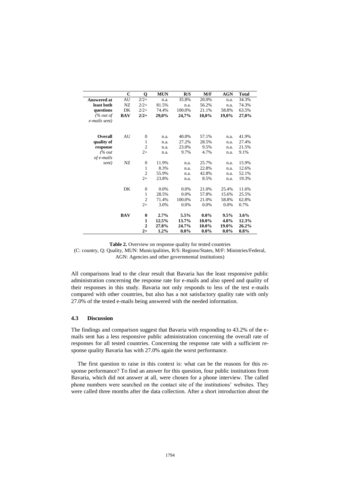|                    | $\mathbf C$ | Q                | <b>MUN</b> | R/S     | M/F     | <b>AGN</b> | <b>Total</b> |
|--------------------|-------------|------------------|------------|---------|---------|------------|--------------|
| <b>Answered at</b> | AU          | $2/2+$           | n.a.       | 35.8%   | 20.0%   | n.a.       | 34.3%        |
| least both         | NZ          | $2/2+$           | 81.5%      | n.a.    | 56.2%   | n.a.       | 74.3%        |
| questions          | DK          | $2/2+$           | 74.4%      | 100.0%  | 21.1%   | 58.8%      | 63.5%        |
| (% out of          | <b>BAV</b>  | $2/2+$           | 29,0%      | 24,7%   | 10,0%   | 19,0%      | 27,0%        |
| e-mails sent)      |             |                  |            |         |         |            |              |
| <b>Overall</b>     | AU          | $\overline{0}$   | n.a.       | 40.0%   | 57.1%   | n.a.       | 41.9%        |
| quality of         |             | 1                | n.a.       | 27.2%   | 28.5%   | n.a.       | 27.4%        |
| response           |             | $\mathfrak{2}$   | n.a.       | 23.0%   | 9.5%    | n.a.       | 21.5%        |
| % out              |             | $2+$             | n.a.       | 9.7%    | 4.7%    | n.a.       | 9.1%         |
| of e-mails         |             |                  |            |         |         |            |              |
| sent)              | NZ          | $\theta$         | 11.9%      | n.a.    | 25.7%   | n.a.       | 15.9%        |
|                    |             | $\mathbf{1}$     | 8.3%       | n.a.    | 22.8%   | n.a.       | 12.6%        |
|                    |             | $\mathfrak{2}$   | 55.9%      | n.a.    | 42.8%   | n.a.       | 52.1%        |
|                    |             | $2+$             | 23.8%      | n.a.    | 8.5%    | n.a.       | 19.3%        |
|                    | DK          | $\boldsymbol{0}$ | 0.0%       | 0.0%    | 21.0%   | 25.4%      | 11.6%        |
|                    |             | $\mathbf{1}$     | 28.5%      | 0.0%    | 57.8%   | 15.6%      | 25.5%        |
|                    |             | $\overline{2}$   | 71.4%      | 100.0%  | 21.0%   | 58.8%      | 62.8%        |
|                    |             | $2+$             | 3.0%       | 0.0%    | 0.0%    | 0.0%       | 0.7%         |
|                    | <b>BAV</b>  | $\bf{0}$         | 2.7%       | 5.5%    | $0.0\%$ | 9.5%       | 3.6%         |
|                    |             | 1                | 12.5%      | 13.7%   | 10.0%   | 4.8%       | 12.3%        |
|                    |             | $\overline{2}$   | 27.8%      | 24.7%   | 10.0%   | 19.0%      | 26.2%        |
|                    |             | $2+$             | 1.2%       | $0.0\%$ | $0.0\%$ | $0.0\%$    | $0.8\%$      |

**Table 2.** Overview on response quality for tested countries

(C: country, Q: Quality, MUN: Municipalities, R/S: Regions/States, M/F: Ministries/Federal, AGN: Agencies and other governmental institutions)

All comparisons lead to the clear result that Bavaria has the least responsive public administration concerning the response rate for e-mails and also speed and quality of their responses in this study. Bavaria not only responds to less of the test e-mails compared with other countries, but also has a not satisfactory quality rate with only 27.0% of the tested e-mails being answered with the needed information.

## **4.3 Discussion**

The findings and comparison suggest that Bavaria with responding to 43.2% of the emails sent has a less responsive public administration concerning the overall rate of responses for all tested countries. Concerning the response rate with a sufficient response quality Bavaria has with 27.0% again the worst performance.

The first question to raise in this context is: what can be the reasons for this response performance? To find an answer for this question, four public institutions from Bavaria, which did not answer at all, were chosen for a phone interview. The called phone numbers were searched on the contact site of the institutions' websites. They were called three months after the data collection. After a short introduction about the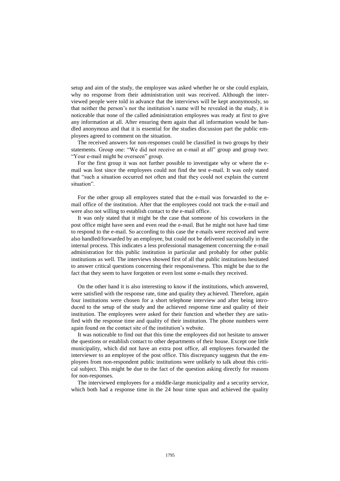setup and aim of the study, the employee was asked whether he or she could explain, why no response from their administration unit was received. Although the interviewed people were told in advance that the interviews will be kept anonymously, so that neither the person's nor the institution's name will be revealed in the study, it is noticeable that none of the called administration employees was ready at first to give any information at all. After ensuring them again that all information would be handled anonymous and that it is essential for the studies discussion part the public employees agreed to comment on the situation.

The received answers for non-responses could be classified in two groups by their statements. Group one: "We did not receive an e-mail at all" group and group two: "Your e-mail might be overseen" group.

For the first group it was not further possible to investigate why or where the email was lost since the employees could not find the test e-mail. It was only stated that "such a situation occurred not often and that they could not explain the current situation".

For the other group all employees stated that the e-mail was forwarded to the email office of the institution. After that the employees could not track the e-mail and were also not willing to establish contact to the e-mail office.

It was only stated that it might be the case that someone of his coworkers in the post office might have seen and even read the e-mail. But he might not have had time to respond to the e-mail. So according to this case the e-mails were received and were also handled/forwarded by an employee, but could not be delivered successfully in the internal process. This indicates a less professional management concerning the e-mail administration for this public institution in particular and probably for other public institutions as well. The interviews showed first of all that public institutions hesitated to answer critical questions concerning their responsiveness. This might be due to the fact that they seem to have forgotten or even lost some e-mails they received.

On the other hand it is also interesting to know if the institutions, which answered, were satisfied with the response rate, time and quality they achieved. Therefore, again four institutions were chosen for a short telephone interview and after being introduced to the setup of the study and the achieved response time and quality of their institution. The employees were asked for their function and whether they are satisfied with the response time and quality of their institution. The phone numbers were again found on the contact site of the institution's website.

It was noticeable to find out that this time the employees did not hesitate to answer the questions or establish contact to other departments of their house. Except one little municipality, which did not have an extra post office, all employees forwarded the interviewer to an employee of the post office. This discrepancy suggests that the employees from non-respondent public institutions were unlikely to talk about this critical subject. This might be due to the fact of the question asking directly for reasons for non-responses.

The interviewed employees for a middle-large municipality and a security service, which both had a response time in the 24 hour time span and achieved the quality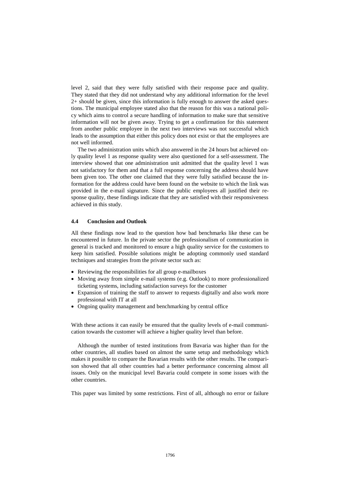level 2, said that they were fully satisfied with their response pace and quality. They stated that they did not understand why any additional information for the level 2+ should be given, since this information is fully enough to answer the asked questions. The municipal employee stated also that the reason for this was a national policy which aims to control a secure handling of information to make sure that sensitive information will not be given away. Trying to get a confirmation for this statement from another public employee in the next two interviews was not successful which leads to the assumption that either this policy does not exist or that the employees are not well informed.

The two administration units which also answered in the 24 hours but achieved only quality level 1 as response quality were also questioned for a self-assessment. The interview showed that one administration unit admitted that the quality level 1 was not satisfactory for them and that a full response concerning the address should have been given too. The other one claimed that they were fully satisfied because the information for the address could have been found on the website to which the link was provided in the e-mail signature. Since the public employees all justified their response quality, these findings indicate that they are satisfied with their responsiveness achieved in this study.

### **4.4 Conclusion and Outlook**

All these findings now lead to the question how bad benchmarks like these can be encountered in future. In the private sector the professionalism of communication in general is tracked and monitored to ensure a high quality service for the customers to keep him satisfied. Possible solutions might be adopting commonly used standard techniques and strategies from the private sector such as:

- Reviewing the responsibilities for all group e-mailboxes
- Moving away from simple e-mail systems (e.g. Outlook) to more professionalized ticketing systems, including satisfaction surveys for the customer
- Expansion of training the staff to answer to requests digitally and also work more professional with IT at all
- Ongoing quality management and benchmarking by central office

With these actions it can easily be ensured that the quality levels of e-mail communication towards the customer will achieve a higher quality level than before.

Although the number of tested institutions from Bavaria was higher than for the other countries, all studies based on almost the same setup and methodology which makes it possible to compare the Bavarian results with the other results. The comparison showed that all other countries had a better performance concerning almost all issues. Only on the municipal level Bavaria could compete in some issues with the other countries.

This paper was limited by some restrictions. First of all, although no error or failure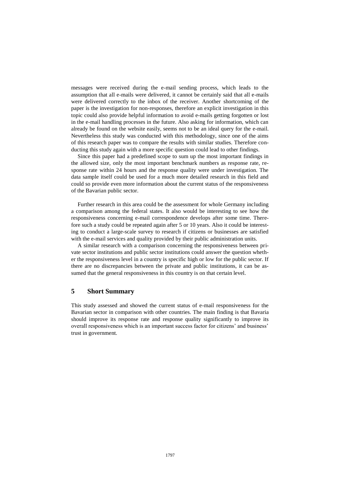messages were received during the e-mail sending process, which leads to the assumption that all e-mails were delivered, it cannot be certainly said that all e-mails were delivered correctly to the inbox of the receiver. Another shortcoming of the paper is the investigation for non-responses, therefore an explicit investigation in this topic could also provide helpful information to avoid e-mails getting forgotten or lost in the e-mail handling processes in the future. Also asking for information, which can already be found on the website easily, seems not to be an ideal query for the e-mail. Nevertheless this study was conducted with this methodology, since one of the aims of this research paper was to compare the results with similar studies. Therefore conducting this study again with a more specific question could lead to other findings.

Since this paper had a predefined scope to sum up the most important findings in the allowed size, only the most important benchmark numbers as response rate, response rate within 24 hours and the response quality were under investigation. The data sample itself could be used for a much more detailed research in this field and could so provide even more information about the current status of the responsiveness of the Bavarian public sector.

Further research in this area could be the assessment for whole Germany including a comparison among the federal states. It also would be interesting to see how the responsiveness concerning e-mail correspondence develops after some time. Therefore such a study could be repeated again after 5 or 10 years. Also it could be interesting to conduct a large-scale survey to research if citizens or businesses are satisfied with the e-mail services and quality provided by their public administration units.

A similar research with a comparison concerning the responsiveness between private sector institutions and public sector institutions could answer the question whether the responsiveness level in a country is specific high or low for the public sector. If there are no discrepancies between the private and public institutions, it can be assumed that the general responsiveness in this country is on that certain level.

## **5 Short Summary**

This study assessed and showed the current status of e-mail responsiveness for the Bavarian sector in comparison with other countries. The main finding is that Bavaria should improve its response rate and response quality significantly to improve its overall responsiveness which is an important success factor for citizens' and business' trust in government.